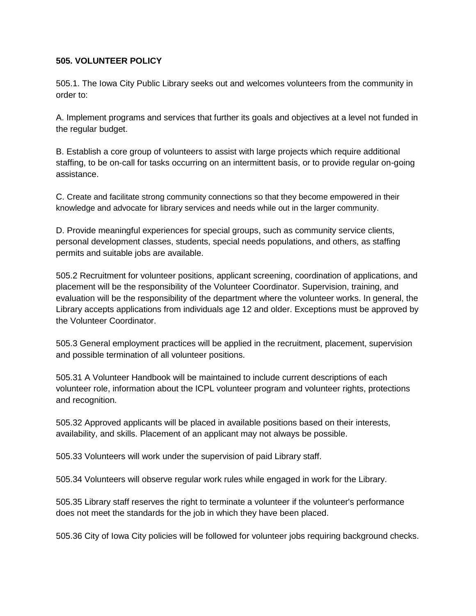## **505. VOLUNTEER POLICY**

505.1. The Iowa City Public Library seeks out and welcomes volunteers from the community in order to:

A. Implement programs and services that further its goals and objectives at a level not funded in the regular budget.

B. Establish a core group of volunteers to assist with large projects which require additional staffing, to be on-call for tasks occurring on an intermittent basis, or to provide regular on-going assistance.

C. Create and facilitate strong community connections so that they become empowered in their knowledge and advocate for library services and needs while out in the larger community.

D. Provide meaningful experiences for special groups, such as community service clients, personal development classes, students, special needs populations, and others, as staffing permits and suitable jobs are available.

505.2 Recruitment for volunteer positions, applicant screening, coordination of applications, and placement will be the responsibility of the Volunteer Coordinator. Supervision, training, and evaluation will be the responsibility of the department where the volunteer works. In general, the Library accepts applications from individuals age 12 and older. Exceptions must be approved by the Volunteer Coordinator.

505.3 General employment practices will be applied in the recruitment, placement, supervision and possible termination of all volunteer positions.

505.31 A Volunteer Handbook will be maintained to include current descriptions of each volunteer role, information about the ICPL volunteer program and volunteer rights, protections and recognition.

505.32 Approved applicants will be placed in available positions based on their interests, availability, and skills. Placement of an applicant may not always be possible.

505.33 Volunteers will work under the supervision of paid Library staff.

505.34 Volunteers will observe regular work rules while engaged in work for the Library.

505.35 Library staff reserves the right to terminate a volunteer if the volunteer's performance does not meet the standards for the job in which they have been placed.

505.36 City of Iowa City policies will be followed for volunteer jobs requiring background checks.